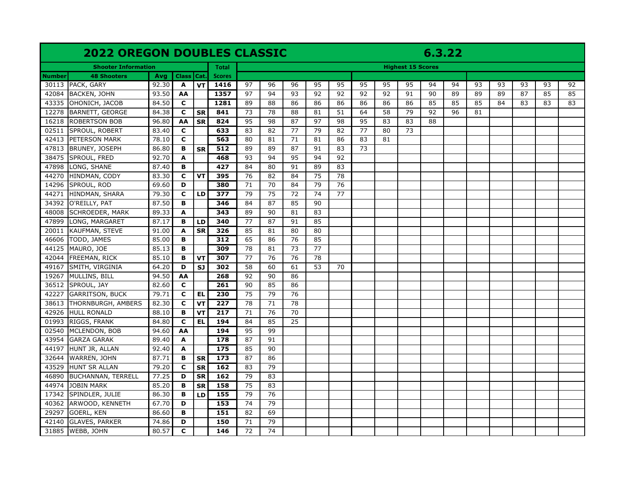## **2022 OREGON DOUBLES CLASSIC 6.3.22**

| <b>Shooter Information</b><br><b>48 Shooters</b><br>Class   Cat.<br>Number |                                                |                |                    |           |               | <b>Highest 15 Scores</b> |                 |                 |          |                 |                 |          |          |          |          |          |    |    |    |    |
|----------------------------------------------------------------------------|------------------------------------------------|----------------|--------------------|-----------|---------------|--------------------------|-----------------|-----------------|----------|-----------------|-----------------|----------|----------|----------|----------|----------|----|----|----|----|
|                                                                            |                                                | Avg            |                    |           | <b>Scores</b> |                          |                 |                 |          |                 |                 |          |          |          |          |          |    |    |    |    |
| 30113                                                                      | PACK, GARY                                     | 92.30          | $\mathbf{A}$       | <b>VT</b> | 1416          | 97                       | 96              | 96              | 95       | 95              | 95              | 95       | 95       | 94       | 94       | 93       | 93 | 93 | 93 | 92 |
| 42084                                                                      | <b>BACKEN, JOHN</b>                            | 93.50          | AA                 |           | 1357          | 97                       | 94              | 93              | 92       | 92              | 92              | 92       | 91       | 90       | 89       | 89       | 89 | 87 | 85 | 85 |
| 43335                                                                      | OHONICH, JACOB                                 | 84.50          | $\mathbf{C}$       |           | 1281          | 89                       | 88<br>78        | 86<br>88        | 86<br>81 | 86<br>51        | 86<br>64        | 86<br>58 | 86<br>79 | 85<br>92 | 85<br>96 | 85<br>81 | 84 | 83 | 83 | 83 |
| 12278                                                                      | <b>BARNETT, GEORGE</b><br><b>ROBERTSON BOB</b> | 84.38          | $\mathbf c$        | <b>SR</b> | 841<br>824    | 73<br>95                 | 98              | 87              | 97       | 98              | 95              |          | 83       | 88       |          |          |    |    |    |    |
| 16218<br>02511                                                             | SPROUL, ROBERT                                 | 96.80<br>83.40 | AA<br>$\mathbf{C}$ | <b>SR</b> | 633           | 83                       | 82              | 77              | 79       | 82              | 77              | 83<br>80 | 73       |          |          |          |    |    |    |    |
| 42413                                                                      | PETERSON MARK                                  |                | $\mathbf{C}$       |           | 563           | 80                       | 81              | 71              |          | 86              | 83              | 81       |          |          |          |          |    |    |    |    |
| 47813                                                                      | <b>BRUNEY, JOSEPH</b>                          | 78.10<br>86.80 | B                  |           | 512           | 89                       | 89              | 87              | 81<br>91 | 83              | $\overline{73}$ |          |          |          |          |          |    |    |    |    |
| 38475                                                                      | SPROUL, FRED                                   | 92.70          | A                  | <b>SR</b> | 468           | 93                       | $\overline{94}$ | $\overline{95}$ | 94       | $\overline{92}$ |                 |          |          |          |          |          |    |    |    |    |
|                                                                            |                                                | 87.40          |                    |           | 427           | 84                       | 80              | 91              |          | 83              |                 |          |          |          |          |          |    |    |    |    |
| 47898<br>44270                                                             | LONG, SHANE<br>HINDMAN, CODY                   | 83.30          | B<br>C             | <b>VT</b> | 395           | 76                       | 82              | 84              | 89<br>75 | 78              |                 |          |          |          |          |          |    |    |    |    |
| 14296                                                                      | SPROUL, ROD                                    | 69.60          | D                  |           | 380           | 71                       | 70              | 84              | 79       | $\overline{76}$ |                 |          |          |          |          |          |    |    |    |    |
| 44271                                                                      | HINDMAN, SHARA                                 | 79.30          | $\mathbf c$        | LD        | 377           | 79                       | $\overline{75}$ | 72              | 74       | 77              |                 |          |          |          |          |          |    |    |    |    |
| 34392                                                                      | O'REILLY, PAT                                  | 87.50          | в                  |           | 346           | 84                       | 87              | 85              | 90       |                 |                 |          |          |          |          |          |    |    |    |    |
| 48008                                                                      | <b>SCHROEDER, MARK</b>                         | 89.33          | A                  |           | 343           | 89                       | 90              | 81              | 83       |                 |                 |          |          |          |          |          |    |    |    |    |
| 47899                                                                      | LONG, MARGARET                                 | 87.17          | B                  | LD        | 340           | 77                       | 87              | 91              | 85       |                 |                 |          |          |          |          |          |    |    |    |    |
| 20011                                                                      | KAUFMAN, STEVE                                 | 91.00          | A                  | <b>SR</b> | 326           | 85                       | 81              | 80              | 80       |                 |                 |          |          |          |          |          |    |    |    |    |
| 46606                                                                      | TODD, JAMES                                    | 85.00          | B                  |           | 312           | 65                       | 86              | 76              | 85       |                 |                 |          |          |          |          |          |    |    |    |    |
| 44125                                                                      | MAURO, JOE                                     | 85.13          | B                  |           | 309           | 78                       | 81              | 73              | 77       |                 |                 |          |          |          |          |          |    |    |    |    |
| 42044                                                                      | FREEMAN, RICK                                  | 85.10          | B                  | <b>VT</b> | 307           | 77                       | 76              | 76              | 78       |                 |                 |          |          |          |          |          |    |    |    |    |
| 49167                                                                      | SMITH, VIRGINIA                                | 64.20          | D                  | <b>SJ</b> | 302           | 58                       | 60              | 61              | 53       | 70              |                 |          |          |          |          |          |    |    |    |    |
| 19267                                                                      | MULLINS, BILL                                  | 94.50          | AA                 |           | 268           | 92                       | 90              | 86              |          |                 |                 |          |          |          |          |          |    |    |    |    |
| 36512                                                                      | SPROUL, JAY                                    | 82.60          | $\mathbf{C}$       |           | 261           | 90                       | 85              | 86              |          |                 |                 |          |          |          |          |          |    |    |    |    |
| 42227                                                                      | <b>GARRITSON, BUCK</b>                         | 79.71          | $\mathbf{C}$       | <b>EL</b> | 230           | 75                       | 79              | 76              |          |                 |                 |          |          |          |          |          |    |    |    |    |
| 38613                                                                      | THORNBURGH, AMBERS                             | 82.30          | $\overline{c}$     | <b>VT</b> | 227           | $\overline{78}$          | 71              | $\overline{78}$ |          |                 |                 |          |          |          |          |          |    |    |    |    |
| 42926                                                                      | <b>HULL RONALD</b>                             | 88.10          | B                  | <b>VT</b> | 217           | $\overline{71}$          | 76              | $\overline{70}$ |          |                 |                 |          |          |          |          |          |    |    |    |    |
| 01993                                                                      | RIGGS, FRANK                                   | 84.80          | C                  | <b>EL</b> | 194           | 84                       | 85              | 25              |          |                 |                 |          |          |          |          |          |    |    |    |    |
| 02540                                                                      | MCLENDON, BOB                                  | 94.60          | AA                 |           | 194           | 95                       | 99              |                 |          |                 |                 |          |          |          |          |          |    |    |    |    |
| 43954                                                                      | <b>GARZA GARAK</b>                             | 89.40          | A                  |           | 178           | 87                       | 91              |                 |          |                 |                 |          |          |          |          |          |    |    |    |    |
| 44197                                                                      | HUNT JR, ALLAN                                 | 92.40          | $\overline{A}$     |           | 175           | 85                       | 90              |                 |          |                 |                 |          |          |          |          |          |    |    |    |    |
| 32644                                                                      | WARREN, JOHN                                   | 87.71          | B                  | <b>SR</b> | 173           | 87                       | 86              |                 |          |                 |                 |          |          |          |          |          |    |    |    |    |
| 43529                                                                      | <b>HUNT SR ALLAN</b>                           | 79.20          | C                  | <b>SR</b> | 162           | 83                       | 79              |                 |          |                 |                 |          |          |          |          |          |    |    |    |    |
| 46890                                                                      | <b>BUCHANNAN, TERRELL</b>                      | 77.25          | D                  | <b>SR</b> | 162           | 79                       | 83              |                 |          |                 |                 |          |          |          |          |          |    |    |    |    |
| 44974                                                                      | <b>JOBIN MARK</b>                              | 85.20          | B                  | <b>SR</b> | 158           | 75                       | 83              |                 |          |                 |                 |          |          |          |          |          |    |    |    |    |
| 17342                                                                      | SPINDLER, JULIE                                | 86.30          | B                  | LD        | 155           | $\overline{79}$          | 76              |                 |          |                 |                 |          |          |          |          |          |    |    |    |    |
| 40362                                                                      | ARWOOD, KENNETH                                | 67.70          | D                  |           | 153           | 74                       | 79              |                 |          |                 |                 |          |          |          |          |          |    |    |    |    |
| 29297                                                                      | <b>GOERL, KEN</b>                              | 86.60          | В                  |           | 151           | 82                       | 69              |                 |          |                 |                 |          |          |          |          |          |    |    |    |    |
| 42140                                                                      | <b>GLAVES, PARKER</b>                          | 74.86          | D                  |           | 150           | $\overline{71}$          | 79              |                 |          |                 |                 |          |          |          |          |          |    |    |    |    |
| 31885                                                                      | WEBB, JOHN                                     | 80.57          | C                  |           | 146           | 72                       | 74              |                 |          |                 |                 |          |          |          |          |          |    |    |    |    |